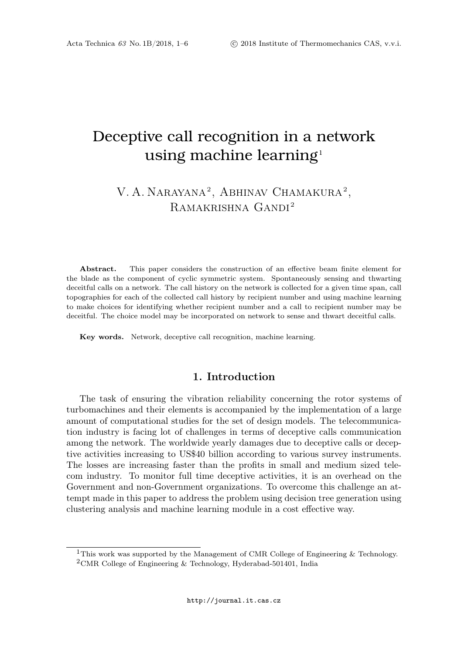# Deceptive call recognition in a network using machine learning<sup>1</sup>

## V. A. NARAYANA<sup>2</sup>, ABHINAV CHAMAKURA<sup>2</sup>, RAMAKRISHNA GANDI<sup>2</sup>

Abstract. This paper considers the construction of an effective beam finite element for the blade as the component of cyclic symmetric system. Spontaneously sensing and thwarting deceitful calls on a network. The call history on the network is collected for a given time span, call topographies for each of the collected call history by recipient number and using machine learning to make choices for identifying whether recipient number and a call to recipient number may be deceitful. The choice model may be incorporated on network to sense and thwart deceitful calls.

Key words. Network, deceptive call recognition, machine learning.

### 1. Introduction

The task of ensuring the vibration reliability concerning the rotor systems of turbomachines and their elements is accompanied by the implementation of a large amount of computational studies for the set of design models. The telecommunication industry is facing lot of challenges in terms of deceptive calls communication among the network. The worldwide yearly damages due to deceptive calls or deceptive activities increasing to US\$40 billion according to various survey instruments. The losses are increasing faster than the profits in small and medium sized telecom industry. To monitor full time deceptive activities, it is an overhead on the Government and non-Government organizations. To overcome this challenge an attempt made in this paper to address the problem using decision tree generation using clustering analysis and machine learning module in a cost effective way.

<sup>&</sup>lt;sup>1</sup>This work was supported by the Management of CMR College of Engineering & Technology.

<sup>2</sup>CMR College of Engineering & Technology, Hyderabad-501401, India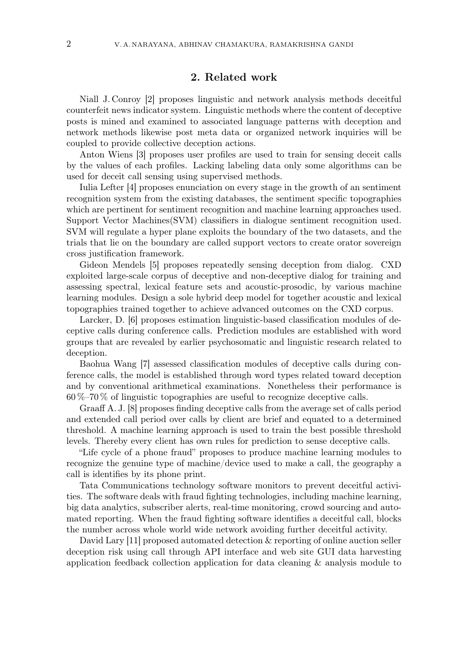#### 2. Related work

Niall J. Conroy [2] proposes linguistic and network analysis methods deceitful counterfeit news indicator system. Linguistic methods where the content of deceptive posts is mined and examined to associated language patterns with deception and network methods likewise post meta data or organized network inquiries will be coupled to provide collective deception actions.

Anton Wiens [3] proposes user profiles are used to train for sensing deceit calls by the values of each profiles. Lacking labeling data only some algorithms can be used for deceit call sensing using supervised methods.

Iulia Lefter [4] proposes enunciation on every stage in the growth of an sentiment recognition system from the existing databases, the sentiment specific topographies which are pertinent for sentiment recognition and machine learning approaches used. Support Vector Machines(SVM) classifiers in dialogue sentiment recognition used. SVM will regulate a hyper plane exploits the boundary of the two datasets, and the trials that lie on the boundary are called support vectors to create orator sovereign cross justification framework.

Gideon Mendels [5] proposes repeatedly sensing deception from dialog. CXD exploited large-scale corpus of deceptive and non-deceptive dialog for training and assessing spectral, lexical feature sets and acoustic-prosodic, by various machine learning modules. Design a sole hybrid deep model for together acoustic and lexical topographies trained together to achieve advanced outcomes on the CXD corpus.

Larcker, D. [6] proposes estimation linguistic-based classification modules of deceptive calls during conference calls. Prediction modules are established with word groups that are revealed by earlier psychosomatic and linguistic research related to deception.

Baohua Wang [7] assessed classification modules of deceptive calls during conference calls, the model is established through word types related toward deception and by conventional arithmetical examinations. Nonetheless their performance is 60 %–70 % of linguistic topographies are useful to recognize deceptive calls.

Graaff A. J. [8] proposes finding deceptive calls from the average set of calls period and extended call period over calls by client are brief and equated to a determined threshold. A machine learning approach is used to train the best possible threshold levels. Thereby every client has own rules for prediction to sense deceptive calls.

"Life cycle of a phone fraud" proposes to produce machine learning modules to recognize the genuine type of machine/device used to make a call, the geography a call is identifies by its phone print.

Tata Communications technology software monitors to prevent deceitful activities. The software deals with fraud fighting technologies, including machine learning, big data analytics, subscriber alerts, real-time monitoring, crowd sourcing and automated reporting. When the fraud fighting software identifies a deceitful call, blocks the number across whole world wide network avoiding further deceitful activity.

David Lary [11] proposed automated detection & reporting of online auction seller deception risk using call through API interface and web site GUI data harvesting application feedback collection application for data cleaning & analysis module to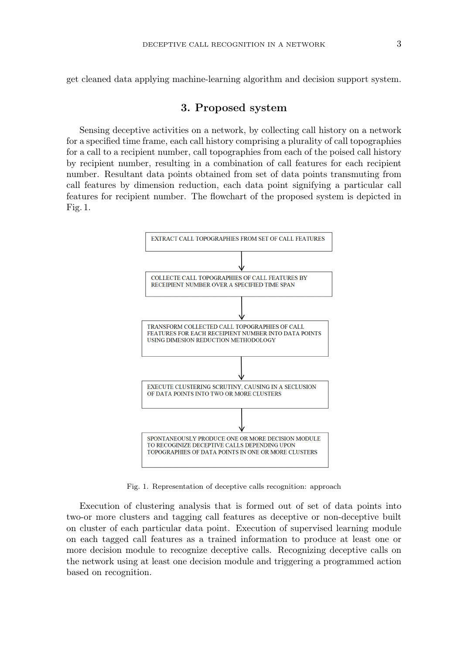get cleaned data applying machine-learning algorithm and decision support system.

#### 3. Proposed system

Sensing deceptive activities on a network, by collecting call history on a network for a specified time frame, each call history comprising a plurality of call topographies for a call to a recipient number, call topographies from each of the poised call history by recipient number, resulting in a combination of call features for each recipient number. Resultant data points obtained from set of data points transmuting from call features by dimension reduction, each data point signifying a particular call features for recipient number. The flowchart of the proposed system is depicted in Fig. 1.



Fig. 1. Representation of deceptive calls recognition: approach

Execution of clustering analysis that is formed out of set of data points into two-or more clusters and tagging call features as deceptive or non-deceptive built on cluster of each particular data point. Execution of supervised learning module on each tagged call features as a trained information to produce at least one or more decision module to recognize deceptive calls. Recognizing deceptive calls on the network using at least one decision module and triggering a programmed action based on recognition.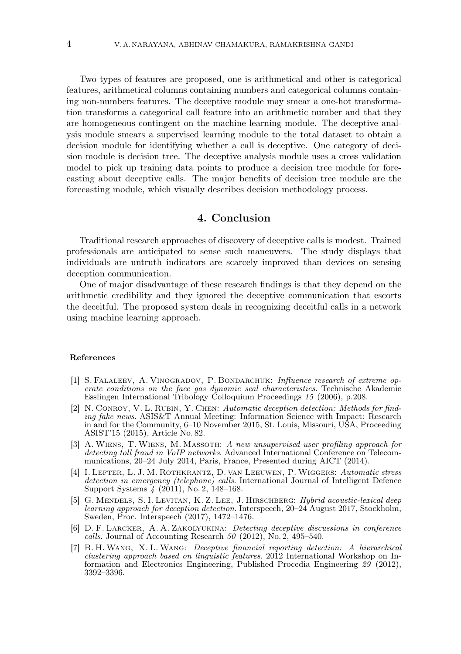Two types of features are proposed, one is arithmetical and other is categorical features, arithmetical columns containing numbers and categorical columns containing non-numbers features. The deceptive module may smear a one-hot transformation transforms a categorical call feature into an arithmetic number and that they are homogeneous contingent on the machine learning module. The deceptive analysis module smears a supervised learning module to the total dataset to obtain a decision module for identifying whether a call is deceptive. One category of decision module is decision tree. The deceptive analysis module uses a cross validation model to pick up training data points to produce a decision tree module for forecasting about deceptive calls. The major benefits of decision tree module are the forecasting module, which visually describes decision methodology process.

#### 4. Conclusion

Traditional research approaches of discovery of deceptive calls is modest. Trained professionals are anticipated to sense such maneuvers. The study displays that individuals are untruth indicators are scarcely improved than devices on sensing deception communication.

One of major disadvantage of these research findings is that they depend on the arithmetic credibility and they ignored the deceptive communication that escorts the deceitful. The proposed system deals in recognizing deceitful calls in a network using machine learning approach.

#### References

- [1] S. Falaleev, A. Vinogradov, P. Bondarchuk: Influence research of extreme operate conditions on the face gas dynamic seal characteristics. Technische Akademie Esslingen International Tribology Colloquium Proceedings 15 (2006), p.208.
- [2] N. Conroy, V. L. Rubin, Y. Chen: Automatic deception detection: Methods for finding fake news. ASIS&T Annual Meeting: Information Science with Impact: Research in and for the Community, 6–10 November 2015, St. Louis, Missouri, USA, Proceeding ASIST'15 (2015), Article No. 82.
- [3] A. Wiens, T. Wiens, M. Massoth: A new unsupervised user profiling approach for detecting toll fraud in VoIP networks. Advanced International Conference on Telecommunications, 20–24 July 2014, Paris, France, Presented during AICT (2014).
- [4] I. Lefter, L. J. M. Rothkrantz, D. van Leeuwen, P. Wiggers: Automatic stress detection in emergency (telephone) calls. International Journal of Intelligent Defence Support Systems 4 (2011), No. 2, 148–168.
- [5] G. MENDELS, S. I. LEVITAN, K. Z. LEE, J. HIRSCHBERG: Hybrid acoustic-lexical deep learning approach for deception detection. Interspeech, 20–24 August 2017, Stockholm, Sweden, Proc. Interspeech (2017), 1472–1476.
- [6] D. F. Larcker, A. A. Zakolyukina: Detecting deceptive discussions in conference calls. Journal of Accounting Research  $50$  (2012), No. 2, 495–540.
- [7] B. H. Wang, X. L. Wang: Deceptive financial reporting detection: A hierarchical clustering approach based on linguistic features. 2012 International Workshop on Information and Electronics Engineering, Published Procedia Engineering 29 (2012), 3392–3396.